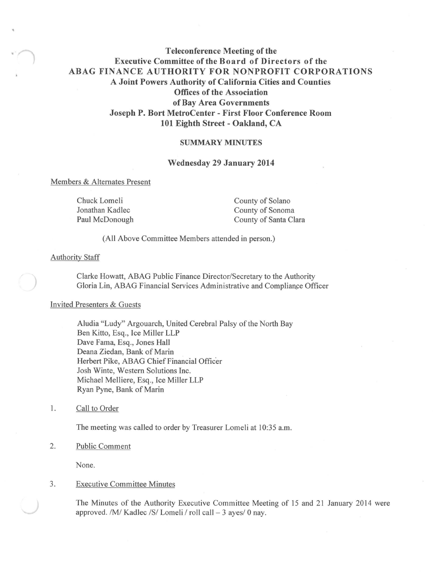# **Teleconference Meeting of the Executive Committee of the Board of Directors of the ABAG FINANCE AUTHORITY FOR NONPROFIT CORPORATIONS A Joint Powers Authority of California Cities and Counties Offices of the Association of Bay Area Governments Joseph P. Bort MetroCenter - First Floor Conference Room 101 Eighth Street - Oakland, CA**

#### **SUMMARY MINUTES**

#### **Wednesday 29 January 2014**

#### Members & Alternates Present

Chuck Lomeli Jonathan Kadlec Paul McDonough County of Solano County of Sonoma County of Santa Clara

(All Above Committee Members attended in person.)

#### Authority Staff

*)* 

*·-r,* 

Clarke Howatt, ABAG Public Finance Director/Secretary to the Authority Gloria Lin, ABAG Financial Services Administrative and Compliance Officer

## Invited Presenters & Guests

Aludia "Ludy" Argouarch, United Cerebral Palsy of the North Bay Ben Kitto, Esq., Ice Miller LLP Dave Fama, Esq., Jones Hall Deana Ziedan, Bank of Marin Herbert Pike, ABAG Chief Financial Officer Josh Winte, Western Solutions Inc. Michael Melliere, Esq., Ice Miller LLP Ryan Pyne, Bank of Marin

#### 1. Call to Order

The meeting was called to order by Treasurer Lomeli at 10:35 a.m.

#### 2. Public Comment

None.

## 3. Executive Committee Minutes

The Minutes of the Authority Executive Committee Meeting of 15 and 21 January 2014 were approved. /M/ Kadlec /S/ Lomeli / roll call - 3 ayes/ 0 nay.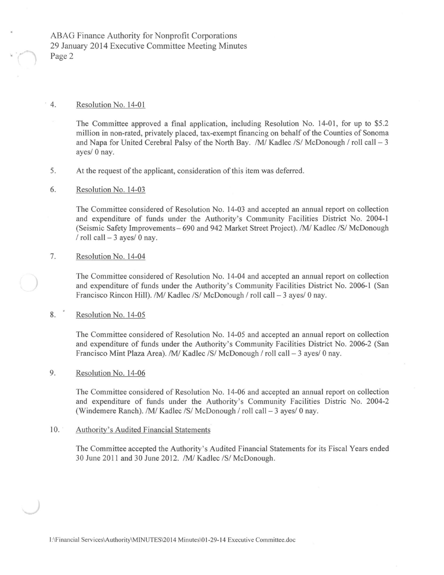ABAG Finance Authority for Nonprofit Corporations 29 January 2014 Executive Committee Meeting Minutes Page 2

## 4. Resolution No. 14-01

The Committee approved a final application, including Resolution No. 14-01, for up to \$5.2 million in non-rated, privately placed, tax-exempt financing on behalf of the Counties of Sonoma and Napa for United Cerebral Palsy of the North Bay. /M/ Kadlec /S/ McDonough *I* roll call - 3 ayes/ 0 nay.

5. At the request of the applicant, consideration of this item was deferred.

### 6. Resolution No. 14-03

The Committee considered of Resolution No. 14-03 and accepted an annual report on collection and expenditure of funds under the Authority's Community Facilities District No. 2004-1 (Seismic Safety Improvements- 690 and 942 Market Street Project). */Ml* Kadlec /S/ McDonough / roll call  $-3$  ayes/ 0 nay.

# 7. Resolution No. 14-04

) The Committee considered of Resolution No. 14-04 and accepted an annual report on collection and expenditure of funds under the Authority's Community Facilities District No. 2006-1 (San Francisco Rincon Hill). */M/* Kadlec /S/ McDonough / roll call - 3 ayes/ 0 nay.

### 8. Resolution No. 14-05

The Committee considered of Resolution No. 14-05 and accepted an annual report on collection and expenditure of funds under the Authority's Community Facilities District No. 2006-2 (San Francisco Mint Plaza Area). */Ml* Kadlec /S/ McDonough *I* roll call - 3 ayes/ 0 nay.

## 9. Resolution No. 14-06

The Committee considered of Resolution No. 14-06 and accepted an annual report on collection and expenditure of funds under the Authority's Community Facilities Distric No. 2004-2 (Windemere Ranch). /M/ Kadlec /S/ McDonough / roll call - 3 ayes/ 0 nay.

### 10. Authority's Audited Financial Statements

The Committee accepted the Authority's Audited Financial Statements for its Fiscal Years ended 30 June 2011 and 30 June 2012. */Ml* Kadlec /S/ McDonough.